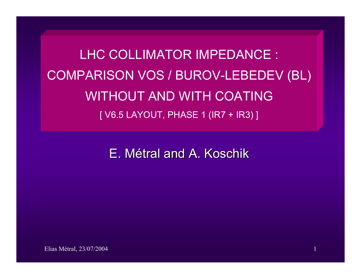LHC COLLIMATOR IMPEDANCE : COMPARISON VOS / BUROV-LEBEDEV (BL) WITHOUT AND WITH COATING[ V6.5 LAYOUT, PHASE 1 (IR7 + IR3) ]

E. Métral and A. Koschik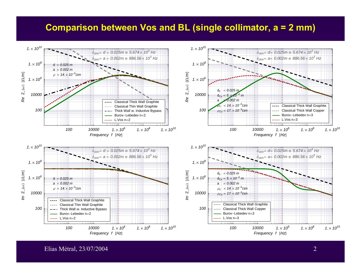## **Comparison between Vos and BL (single collimator, a = 2 mm)**



Elias Métral, 23/07/2004 2